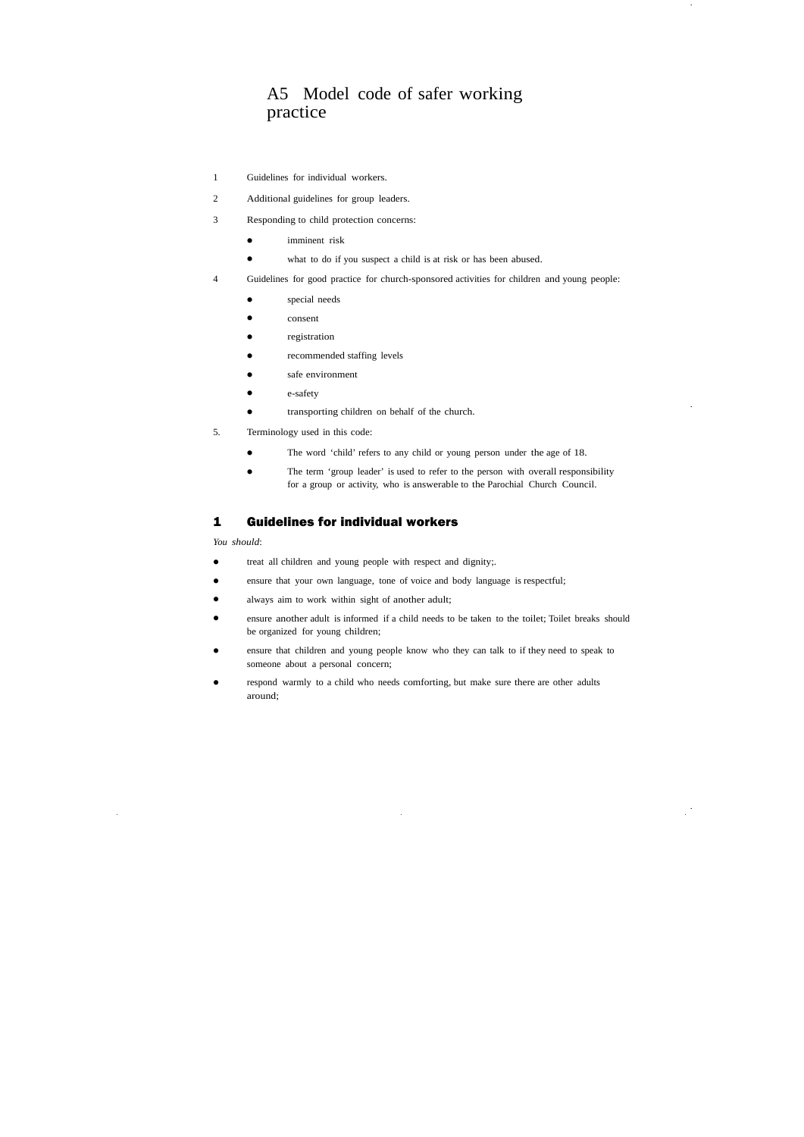# A5 Model code of safer working practice

- 1 Guidelines for individual workers.
- 2 Additional guidelines for group leaders.
- 3 Responding to child protection concerns:
	- imminent risk
	- what to do if you suspect a child is at risk or has been abused.
- 4 Guidelines for good practice for church-sponsored activities for children and young people:
	- special needs
	- consent
	- registration
	- recommended staffing levels
	- safe environment
	- e-safety
	- transporting children on behalf of the church.
- 5. Terminology used in this code:
	- The word 'child' refers to any child or young person under the age of 18.
	- The term 'group leader' is used to refer to the person with overall responsibility for a group or activity, who is answerable to the Parochial Church Council.

# 1 Guidelines for individual workers

*You should*:

 $\bar{\beta}$ 

- treat all children and young people with respect and dignity;.
- ensure that your own language, tone of voice and body language is respectful;
- always aim to work within sight of another adult;
- ensure another adult is informed if a child needs to be taken to the toilet; Toilet breaks should be organized for young children;
- ensure that children and young people know who they can talk to if they need to speak to someone about a personal concern;
- respond warmly to a child who needs comforting, but make sure there are other adults around;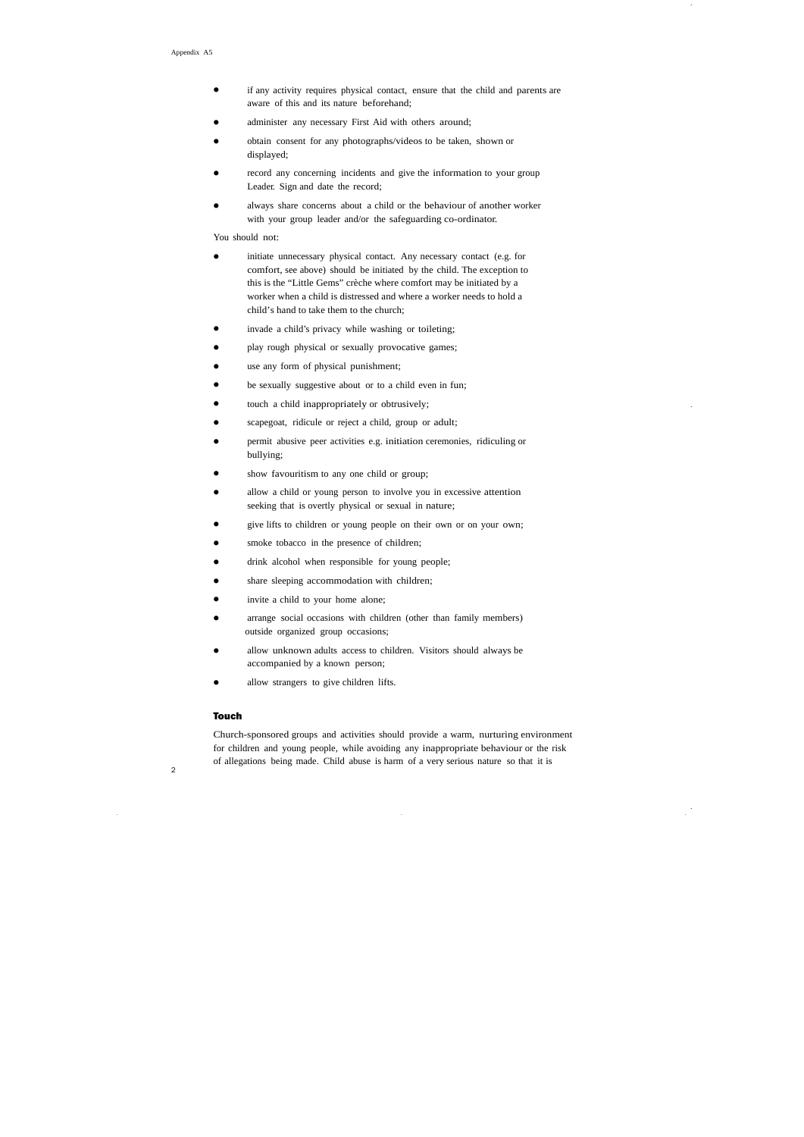$\hat{\boldsymbol{\beta}}$ 

- if any activity requires physical contact, ensure that the child and parents are aware of this and its nature beforehand;
- administer any necessary First Aid with others around;
- obtain consent for any photographs/videos to be taken, shown or displayed;
- record any concerning incidents and give the information to your group Leader. Sign and date the record;
- always share concerns about a child or the behaviour of another worker with your group leader and/or the safeguarding co-ordinator.

#### You should not:

- initiate unnecessary physical contact. Any necessary contact (e.g. for comfort, see above) should be initiated by the child. The exception to this is the "Little Gems" crèche where comfort may be initiated by a worker when a child is distressed and where a worker needs to hold a child's hand to take them to the church;
- invade a child's privacy while washing or toileting;
- play rough physical or sexually provocative games;
- use any form of physical punishment;
- be sexually suggestive about or to a child even in fun;
- touch a child inappropriately or obtrusively;
- scapegoat, ridicule or reject a child, group or adult;
- permit abusive peer activities e.g. initiation ceremonies, ridiculing or bullying;
- show favouritism to any one child or group;
- allow a child or young person to involve you in excessive attention seeking that is overtly physical or sexual in nature;
- give lifts to children or young people on their own or on your own;
- smoke tobacco in the presence of children;
- drink alcohol when responsible for young people;
- share sleeping accommodation with children;
- invite a child to your home alone;
- arrange social occasions with children (other than family members) outside organized group occasions;
- allow unknown adults access to children. Visitors should always be accompanied by a known person;
- allow strangers to give children lifts.

#### Touch

Church-sponsored groups and activities should provide a warm, nurturing environment for children and young people, while avoiding any inappropriate behaviour or the risk of allegations being made. Child abuse is harm of a very serious nature so that it is

 $\bar{z}$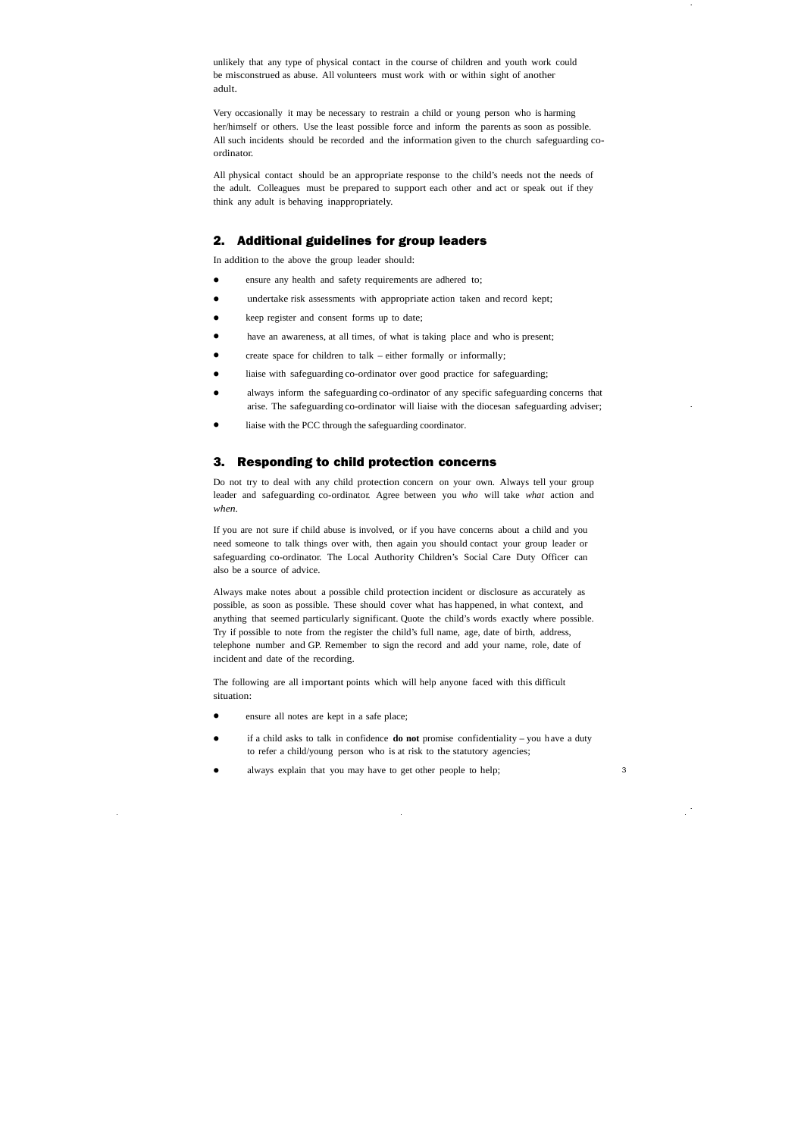unlikely that any type of physical contact in the course of children and youth work could be misconstrued as abuse. All volunteers must work with or within sight of another adult.

Very occasionally it may be necessary to restrain a child or young person who is harming her/himself or others. Use the least possible force and inform the parents as soon as possible. All such incidents should be recorded and the information given to the church safeguarding coordinator.

All physical contact should be an appropriate response to the child's needs not the needs of the adult. Colleagues must be prepared to support each other and act or speak out if they think any adult is behaving inappropriately.

## 2. Additional guidelines for group leaders

In addition to the above the group leader should:

- ensure any health and safety requirements are adhered to;
- undertake risk assessments with appropriate action taken and record kept;
- keep register and consent forms up to date;
- have an awareness, at all times, of what is taking place and who is present;
- create space for children to talk either formally or informally;
- liaise with safeguarding co-ordinator over good practice for safeguarding;
- always inform the safeguarding co-ordinator of any specific safeguarding concerns that arise. The safeguarding co-ordinator will liaise with the diocesan safeguarding adviser;
- liaise with the PCC through the safeguarding coordinator.

- ensure all notes are kept in a safe place;
- if a child asks to talk in confidence **do not** promise confidentiality you h ave a duty to refer a child/young person who is at risk to the statutory agencies;
- always explain that you may have to get other people to help;

### 3. Responding to child protection concerns

Do not try to deal with any child protection concern on your own. Always tell your group leader and safeguarding co-ordinator. Agree between you *who* will take *what* action and *when.*

If you are not sure if child abuse is involved, or if you have concerns about a child and you need someone to talk things over with, then again you should contact your group leader or safeguarding co-ordinator. The Local Authority Children's Social Care Duty Officer can also be a source of advice.

Always make notes about a possible child protection incident or disclosure as accurately as possible, as soon as possible. These should cover what has happened, in what context, and anything that seemed particularly significant. Quote the child's words exactly where possible. Try if possible to note from the register the child's full name, age, date of birth, address, telephone number and GP. Remember to sign the record and add your name, role, date of incident and date of the recording.

The following are all important points which will help anyone faced with this difficult situation: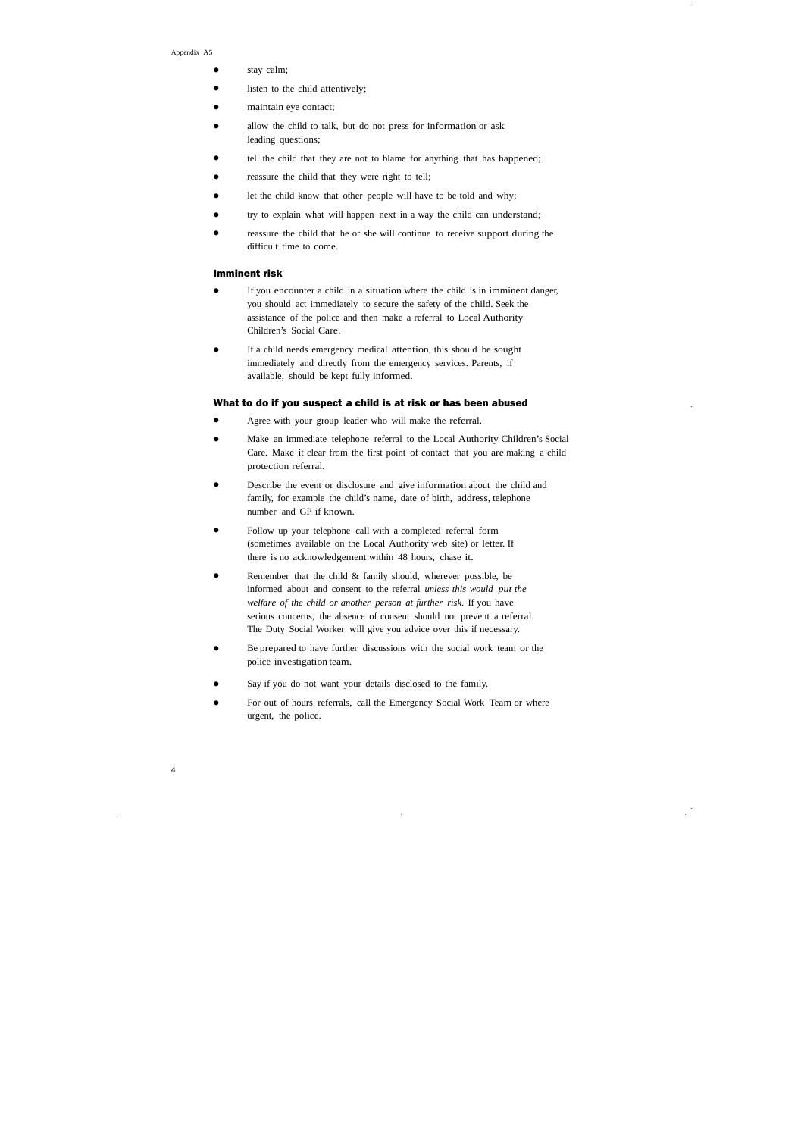#### Appendix A5

 $\hat{\boldsymbol{\beta}}$ 

- stay calm;
- listen to the child attentively;
- maintain eye contact;
- allow the child to talk, but do not press for information or ask leading questions;
- tell the child that they are not to blame for anything that has happened;
- reassure the child that they were right to tell;
- let the child know that other people will have to be told and why;
- try to explain what will happen next in a way the child can understand;
- reassure the child that he or she will continue to receive support during the difficult time to come.

#### Imminent risk

- If you encounter a child in a situation where the child is in imminent danger, you should act immediately to secure the safety of the child. Seek the assistance of the police and then make a referral to Local Authority Children's Social Care.
- If a child needs emergency medical attention, this should be sought immediately and directly from the emergency services. Parents, if available, should be kept fully informed.

#### What to do if you suspect a child is at risk or has been abused

- Agree with your group leader who will make the referral.
- Make an immediate telephone referral to the Local Authority Children's Social Care. Make it clear from the first point of contact that you are making a child protection referral.
- Describe the event or disclosure and give information about the child and family, for example the child's name, date of birth, address, telephone number and GP if known.
- Follow up your telephone call with a completed referral form (sometimes available on the Local Authority web site) or letter. If there is no acknowledgement within 48 hours, chase it.
- Remember that the child & family should, wherever possible, be informed about and consent to the referral *unless this would put the welfare of the child or another person at further risk*. If you have serious concerns, the absence of consent should not prevent a referral. The Duty Social Worker will give you advice over this if necessary.
- Be prepared to have further discussions with the social work team or the police investigation team.
- Say if you do not want your details disclosed to the family.
- For out of hours referrals, call the Emergency Social Work Team or where urgent, the police.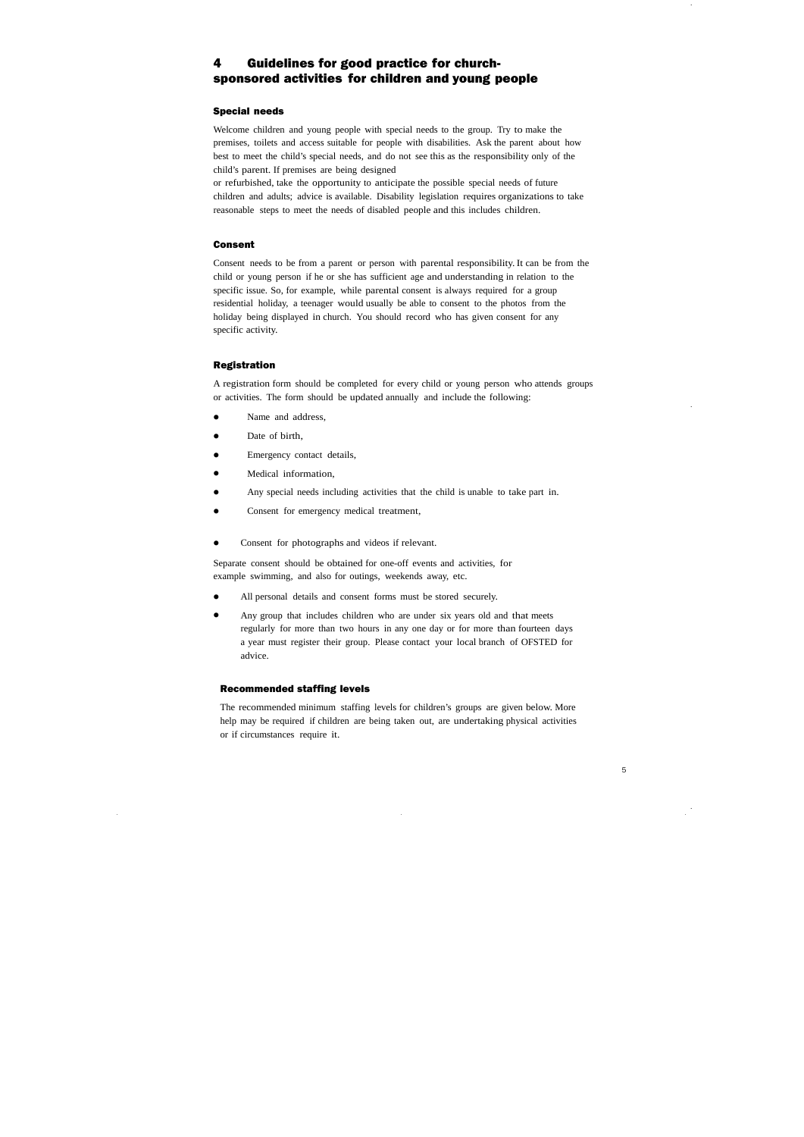# 4 Guidelines for good practice for churchsponsored activities for children and young people

#### Special needs

Welcome children and young people with special needs to the group. Try to make the premises, toilets and access suitable for people with disabilities. Ask the parent about how best to meet the child's special needs, and do not see this as the responsibility only of the child's parent. If premises are being designed

or refurbished, take the opportunity to anticipate the possible special needs of future children and adults; advice is available. Disability legislation requires organizations to take reasonable steps to meet the needs of disabled people and this includes children.

#### Consent

- Name and address,
- Date of birth,
- Emergency contact details,
- Medical information,
- Any special needs including activities that the child is unable to take part in.
- Consent for emergency medical treatment,
- Consent for photographs and videos if relevant.

Consent needs to be from a parent or person with parental responsibility. It can be from the child or young person if he or she has sufficient age and understanding in relation to the specific issue. So, for example, while parental consent is always required for a group residential holiday, a teenager would usually be able to consent to the photos from the holiday being displayed in church. You should record who has given consent for any specific activity.

#### Registration

A registration form should be completed for every child or young person who attends groups or activities. The form should be updated annually and include the following:

Separate consent should be obtained for one-off events and activities, for example swimming, and also for outings, weekends away, etc.

- All personal details and consent forms must be stored securely.
- Any group that includes children who are under six years old and that meets regularly for more than two hours in any one day or for more than fourteen days a year must register their group. Please contact your local branch of OFSTED for advice.

#### Recommended staffing levels

The recommended minimum staffing levels for children's groups are given below. More help may be required if children are being taken out, are undertaking physical activities or if circumstances require it.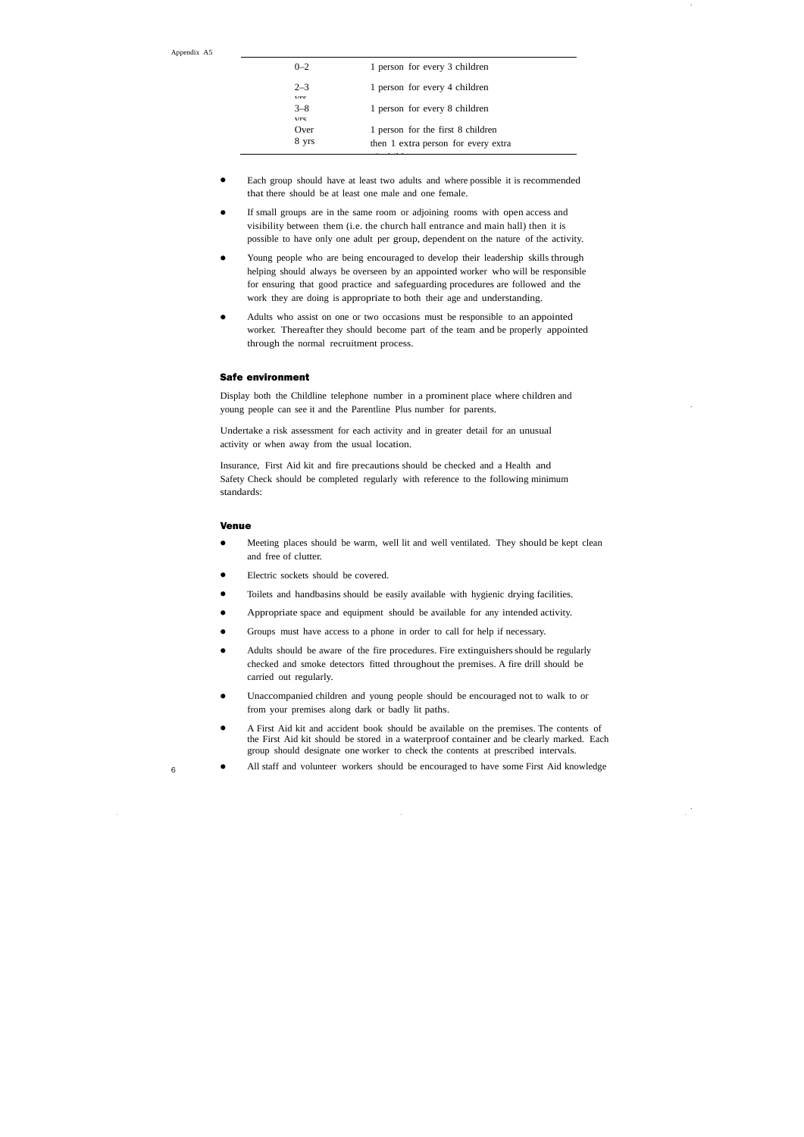Appendix A5

6

| $0 - 2$                         | 1 person for every 3 children                                            |
|---------------------------------|--------------------------------------------------------------------------|
| $2 - 3$                         | 1 person for every 4 children                                            |
| 57400<br>$3 - 8$<br><b>TIPC</b> | 1 person for every 8 children                                            |
| Over<br>8 yrs                   | 1 person for the first 8 children<br>then 1 extra person for every extra |

- Each group should have at least two adults and where possible it is recommended that there should be at least one male and one female.
- If small groups are in the same room or adjoining rooms with open access and visibility between them (i.e. the church hall entrance and main hall) then it is possible to have only one adult per group, dependent on the nature of the activity.
- Young people who are being encouraged to develop their leadership skills through helping should always be overseen by an appointed worker who will be responsible for ensuring that good practice and safeguarding procedures are followed and the work they are doing is appropriate to both their age and understanding.
- Adults who assist on one or two occasions must be responsible to an appointed worker. Thereafter they should become part of the team and be properly appointed through the normal recruitment process.

#### Safe environment

Display both the Childline telephone number in a prominent place where children and young people can see it and the Parentline Plus number for parents.

Undertake a risk assessment for each activity and in greater detail for an unusual activity or when away from the usual location.

Insurance, First Aid kit and fire precautions should be checked and a Health and Safety Check should be completed regularly with reference to the following minimum standards:

#### Venue

- Meeting places should be warm, well lit and well ventilated. They should be kept clean and free of clutter.
- Electric sockets should be covered.
- Toilets and handbasins should be easily available with hygienic drying facilities.
- Appropriate space and equipment should be available for any intended activity.
- Groups must have access to a phone in order to call for help if necessary.
- Adults should be aware of the fire procedures. Fire extinguishers should be regularly checked and smoke detectors fitted throughout the premises. A fire drill should be carried out regularly.
- Unaccompanied children and young people should be encouraged not to walk to or from your premises along dark or badly lit paths.
- A First Aid kit and accident book should be available on the premises. The contents of the First Aid kit should be stored in a waterproof container and be clearly marked. Each group should designate one worker to check the contents at prescribed intervals.
- All staff and volunteer workers should be encouraged to have some First Aid knowledge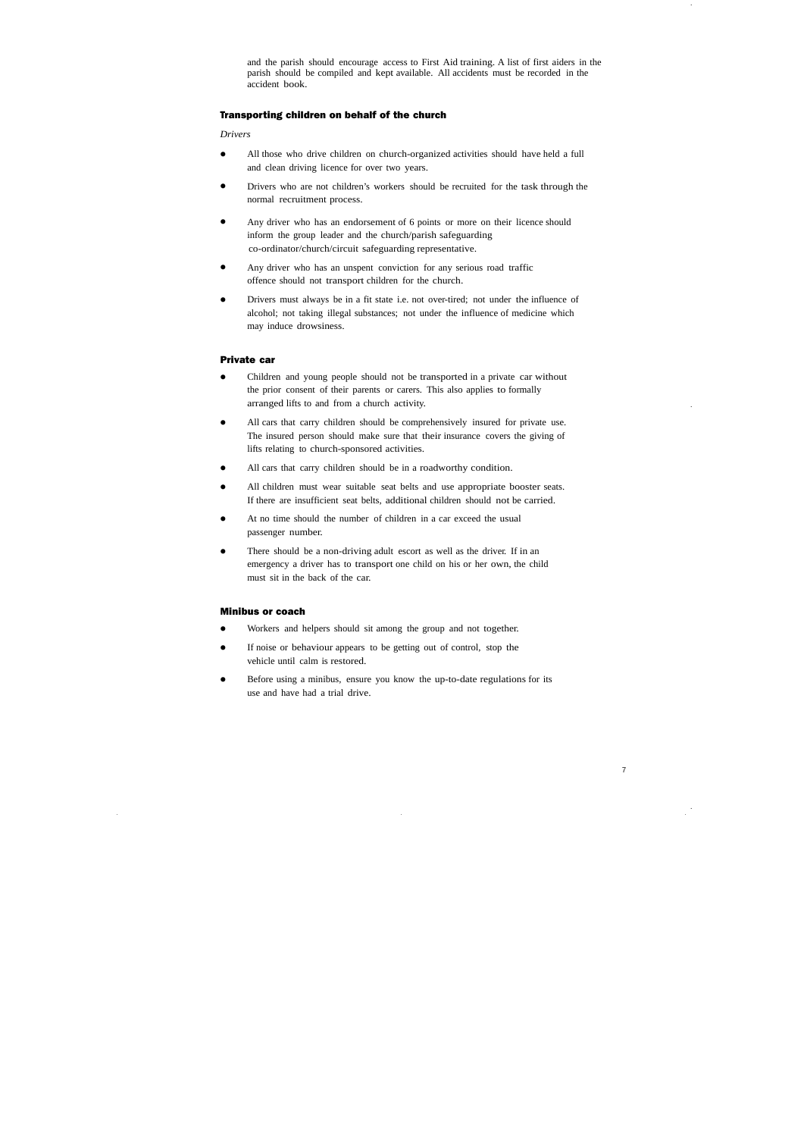7

and the parish should encourage access to First Aid training. A list of first aiders in the parish should be compiled and kept available. All accidents must be recorded in the accident book.

#### Transporting children on behalf of the church

#### *Drivers*

- All those who drive children on church-organized activities should have held a full and clean driving licence for over two years.
- Drivers who are not children's workers should be recruited for the task through the normal recruitment process.
- Any driver who has an endorsement of 6 points or more on their licence should inform the group leader and the church/parish safeguarding co-ordinator/church/circuit safeguarding representative.
- Any driver who has an unspent conviction for any serious road traffic offence should not transport children for the church.
- Drivers must always be in a fit state i.e. not over-tired; not under the influence of alcohol; not taking illegal substances; not under the influence of medicine which may induce drowsiness.

- Children and young people should not be transported in a private car without the prior consent of their parents or carers. This also applies to formally arranged lifts to and from a church activity.
- All cars that carry children should be comprehensively insured for private use. The insured person should make sure that their insurance covers the giving of lifts relating to church-sponsored activities.
- All cars that carry children should be in a roadworthy condition.
- All children must wear suitable seat belts and use appropriate booster seats. If there are insufficient seat belts, additional children should not be carried.
- At no time should the number of children in a car exceed the usual passenger number.
- There should be a non-driving adult escort as well as the driver. If in an emergency a driver has to transport one child on his or her own, the child must sit in the back of the car.

#### Private car

- Workers and helpers should sit among the group and not together.
- If noise or behaviour appears to be getting out of control, stop the vehicle until calm is restored.
- Before using a minibus, ensure you know the up-to-date regulations for its use and have had a trial drive.

#### Minibus or coach

 $\sim$